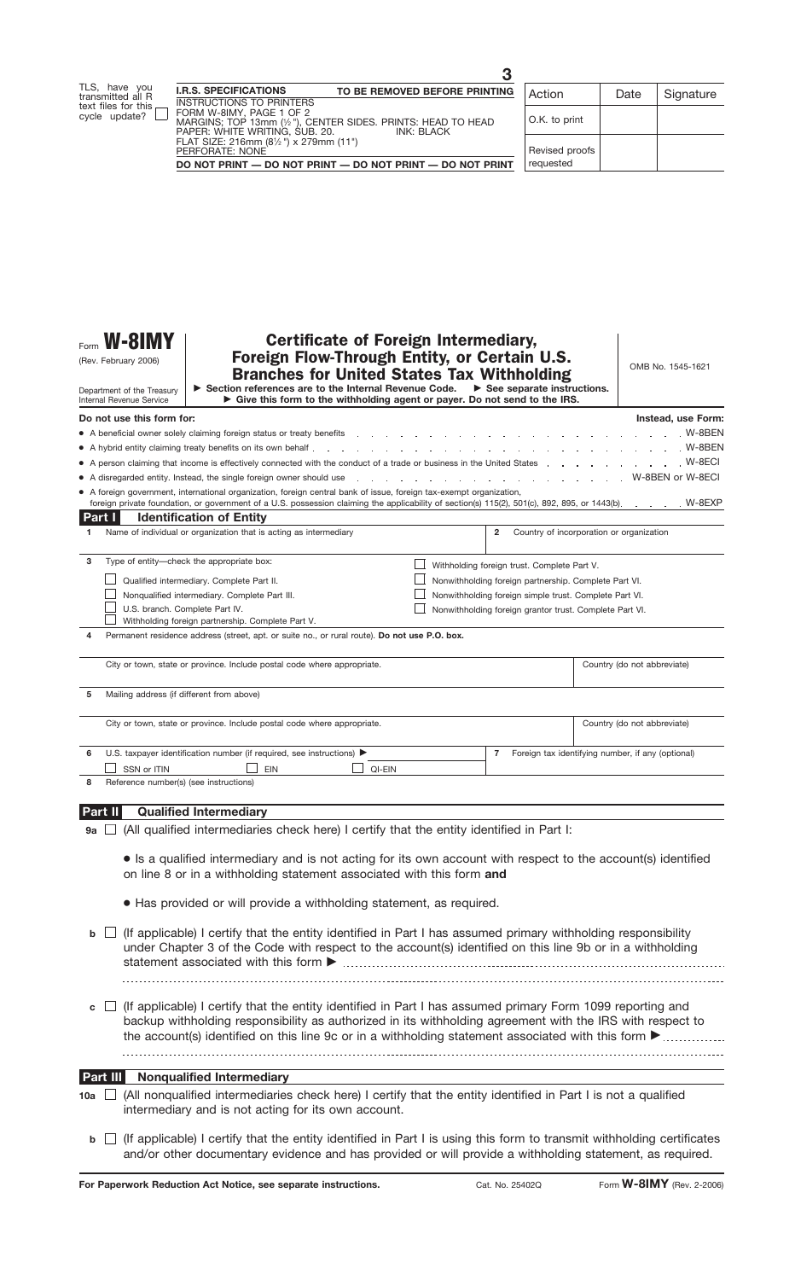| Form <b>W-8IMY</b>   |  |  |
|----------------------|--|--|
| (Rev. February 2006) |  |  |

Department of the Treasury Internal Revenue Service

# Certificate of Foreign Intermediary, Foreign Flow-Through Entity, or Certain U.S. Branches for United States Tax Withholding

OMB No. 1545-1621

| Section references are to the Internal Revenue Code.                        | $\triangleright$ See separate instructions. |
|-----------------------------------------------------------------------------|---------------------------------------------|
| ► Give this form to the withholding agent or payer. Do not send to the IRS. |                                             |

|         | Do not use this form for:                                                                                                                                                                                                                  |                                                       |                                                         | Instead, use Form:                                |  |  |  |
|---------|--------------------------------------------------------------------------------------------------------------------------------------------------------------------------------------------------------------------------------------------|-------------------------------------------------------|---------------------------------------------------------|---------------------------------------------------|--|--|--|
|         | $W-8BEN$<br>• A beneficial owner solely claiming foreign status or treaty benefits entity of the content of the content of the content of the content of the content of the content of the content of the content of the content of the co |                                                       |                                                         |                                                   |  |  |  |
|         | • A hybrid entity claiming treaty benefits on its own behalf entirely as a controlled by the controlled by the hand of the basic of the basic controlled by the hand of the basic controlled by the hand by the hand of the ha<br>$W-8BEN$ |                                                       |                                                         |                                                   |  |  |  |
|         | • A person claiming that income is effectively connected with the conduct of a trade or business in the United States                                                                                                                      |                                                       |                                                         | $W-8ECI$                                          |  |  |  |
|         |                                                                                                                                                                                                                                            |                                                       |                                                         |                                                   |  |  |  |
|         | A disregarded entity. Instead, the single foreign owner should use entity and the content of the content of the SECI or W-8ECI and the single foreign owner should use entity. In a state of the single for W-8ECI and the con             |                                                       |                                                         |                                                   |  |  |  |
|         | A foreign government, international organization, foreign central bank of issue, foreign tax-exempt organization,                                                                                                                          |                                                       |                                                         |                                                   |  |  |  |
|         | foreign private foundation, or government of a U.S. possession claiming the applicability of section(s) 115(2), 501(c), 892, 895, or 1443(b). W-8EXP                                                                                       |                                                       |                                                         |                                                   |  |  |  |
| Part I  | <b>Identification of Entity</b>                                                                                                                                                                                                            |                                                       |                                                         |                                                   |  |  |  |
| 1.      | Name of individual or organization that is acting as intermediary                                                                                                                                                                          |                                                       | $\overline{2}$                                          | Country of incorporation or organization          |  |  |  |
|         |                                                                                                                                                                                                                                            |                                                       |                                                         |                                                   |  |  |  |
| 3       | Type of entity-check the appropriate box:                                                                                                                                                                                                  |                                                       | Withholding foreign trust. Complete Part V.             |                                                   |  |  |  |
|         | Qualified intermediary. Complete Part II.                                                                                                                                                                                                  | Nonwithholding foreign partnership. Complete Part VI. |                                                         |                                                   |  |  |  |
|         | Nonqualified intermediary. Complete Part III.                                                                                                                                                                                              |                                                       | Nonwithholding foreign simple trust. Complete Part VI.  |                                                   |  |  |  |
|         | U.S. branch. Complete Part IV.                                                                                                                                                                                                             |                                                       | Nonwithholding foreign grantor trust. Complete Part VI. |                                                   |  |  |  |
|         | Withholding foreign partnership. Complete Part V.                                                                                                                                                                                          |                                                       |                                                         |                                                   |  |  |  |
| 4       | Permanent residence address (street, apt. or suite no., or rural route). Do not use P.O. box.                                                                                                                                              |                                                       |                                                         |                                                   |  |  |  |
|         |                                                                                                                                                                                                                                            |                                                       |                                                         |                                                   |  |  |  |
|         | City or town, state or province. Include postal code where appropriate.                                                                                                                                                                    |                                                       |                                                         | Country (do not abbreviate)                       |  |  |  |
|         |                                                                                                                                                                                                                                            |                                                       |                                                         |                                                   |  |  |  |
|         |                                                                                                                                                                                                                                            |                                                       |                                                         |                                                   |  |  |  |
| 5       | Mailing address (if different from above)                                                                                                                                                                                                  |                                                       |                                                         |                                                   |  |  |  |
|         |                                                                                                                                                                                                                                            |                                                       |                                                         |                                                   |  |  |  |
|         | City or town, state or province. Include postal code where appropriate.                                                                                                                                                                    |                                                       |                                                         | Country (do not abbreviate)                       |  |  |  |
|         |                                                                                                                                                                                                                                            |                                                       |                                                         |                                                   |  |  |  |
| 6       | U.S. taxpayer identification number (if required, see instructions) >                                                                                                                                                                      |                                                       | $\overline{7}$                                          | Foreign tax identifying number, if any (optional) |  |  |  |
|         | <b>EIN</b><br>SSN or ITIN<br>QI-EIN                                                                                                                                                                                                        |                                                       |                                                         |                                                   |  |  |  |
| 8       | Reference number(s) (see instructions)                                                                                                                                                                                                     |                                                       |                                                         |                                                   |  |  |  |
|         |                                                                                                                                                                                                                                            |                                                       |                                                         |                                                   |  |  |  |
| Part II | <b>Qualified Intermediary</b>                                                                                                                                                                                                              |                                                       |                                                         |                                                   |  |  |  |
|         |                                                                                                                                                                                                                                            |                                                       |                                                         |                                                   |  |  |  |

- $\mathsf{g}_\mathsf{a} \,\sqcup\,$  (All qualified intermediaries check here) I certify that the entity identified in Part I:
	- Is a qualified intermediary and is not acting for its own account with respect to the account(s) identified on line 8 or in a withholding statement associated with this form **and**
	- Has provided or will provide a withholding statement, as required.
- **b**  $\Box$  (If applicable) I certify that the entity identified in Part I has assumed primary withholding responsibility under Chapter 3 of the Code with respect to the account(s) identified on this line 9b or in a withholding statement associated with this form  $\blacktriangleright$
- $\mathbf{c}$   $\Box$  (If applicable) I certify that the entity identified in Part I has assumed primary Form 1099 reporting and backup withholding responsibility as authorized in its withholding agreement with the IRS with respect to the account(s) identified on this line 9c or in a withholding statement associated with this form  $\blacktriangleright$

#### **Nonqualified Intermediary Part III**

- (All nonqualified intermediaries check here) I certify that the entity identified in Part I is not a qualified **10a** intermediary and is not acting for its own account.
	- **b**  $\Box$  (If applicable) I certify that the entity identified in Part I is using this form to transmit withholding certificates and/or other documentary evidence and has provided or will provide a withholding statement, as required.